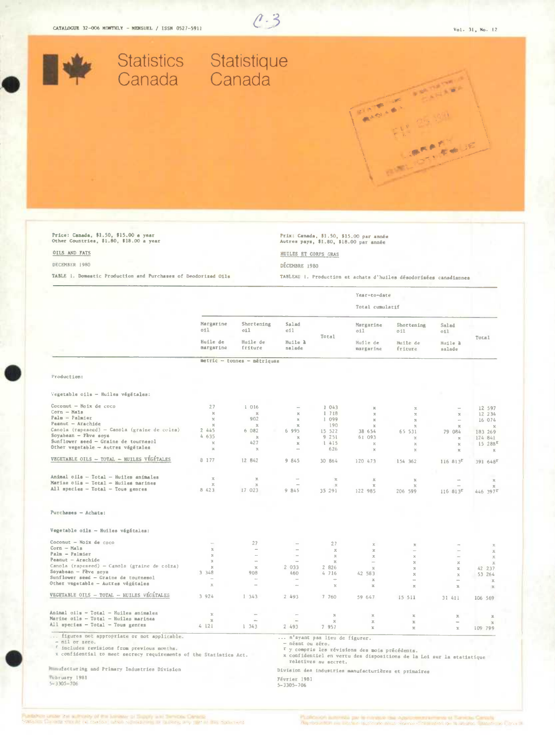

# Price: Canada, \$1.50, \$15.00 a year<br>Other Countries, \$1.80, \$18.00 a year

#### OILS AND FATS

DECEMBER 1980

TABLE 1. Domestic Production and Purchases of Deodorized Oils

Prix: Canada, \$1.50, \$15.00 par année<br>Autres pays, \$1.80, \$18.00 par année

HUILES ET CORPS GRAS

DÉCEMBRE 1980

TABLEAU 1. Production et achats d'huiles désodorisées canadisnnes

|                                                                                                                                    |                       |                             |                                  |                              | Year-to-date                                         |                                                                       |                                          |                          |
|------------------------------------------------------------------------------------------------------------------------------------|-----------------------|-----------------------------|----------------------------------|------------------------------|------------------------------------------------------|-----------------------------------------------------------------------|------------------------------------------|--------------------------|
|                                                                                                                                    |                       |                             |                                  |                              | Total cumulatif                                      |                                                                       |                                          |                          |
|                                                                                                                                    | Margarine<br>oil      | Shortening<br>011           | Salad<br>oil                     |                              | Margarine<br>011                                     | Shortening<br>oil                                                     | Salad<br>011                             |                          |
|                                                                                                                                    | Huile de<br>margarine | Huile de<br>friture         | Huile à<br>salade                | Total                        | Huile de<br>margarine                                | Huile de<br>friture                                                   | Huile à<br>salade                        | Total                    |
|                                                                                                                                    |                       | metric - tonnes - métriquas |                                  |                              |                                                      |                                                                       |                                          |                          |
|                                                                                                                                    |                       |                             |                                  |                              |                                                      |                                                                       |                                          |                          |
| Production:                                                                                                                        |                       |                             |                                  |                              |                                                      |                                                                       |                                          |                          |
| Vegetable oils - Huiles végétales:                                                                                                 |                       |                             |                                  |                              |                                                      |                                                                       |                                          |                          |
| Coconut - Noix de coco                                                                                                             | 27                    | 1 016                       | $\overline{\phantom{a}}$         | 1043                         | $\mathbb{X}$                                         | $\chi$                                                                |                                          | 12 597                   |
| $Corn - Mals$                                                                                                                      | $30$                  | $\mathcal{R}$               | $\mathcal{H}$                    | 1 718                        | $\mathbb X$                                          | $\boldsymbol{\times}$                                                 | $\boldsymbol{\chi}$                      | 12 234                   |
| Palm - Palmier                                                                                                                     | $\propto$             | 902                         | $_{\rm X}$                       | 1 0 9 9                      | $\mathbb{M}$                                         | $\mathcal{K}$                                                         | $\sim$                                   | 16 074                   |
| $PearuL - Arachide$                                                                                                                | $\mathbb{X}$          | $\,$ $\,\times$             | $\mathbb{X}$                     | 190                          | $\propto$                                            | $\mathbf{x}$                                                          | $\mathbb{X}$                             | $\propto$                |
| Canola (rapeseed) - Canola (graine de colza)                                                                                       | 2.445                 | 6 082                       | 6 995                            | 15 522                       | 38 654                                               | 65 531                                                                | 79 084                                   | 183 269                  |
| Soyabean - Fàve soya                                                                                                               | 4 635                 | $\mathbbm{K}$               | $\mathbf x$                      | 9 251                        | 61 093                                               | $\mathbb{X}$                                                          | $\mathbf{y}_i$                           | 124 841                  |
| Sunflower seed - Graine de tournesol                                                                                               | $\propto$             | 427                         | $\mathbbm{K}$                    | 1415                         | $\chi$                                               | $\mathbb X$                                                           | $\mathbf{x}$                             | 15,28B <sup>F</sup>      |
| Other vegetable - Autres végétales                                                                                                 | $\mathbb{R}$          | $\boldsymbol{\chi}$         | $\sim$                           | 626                          | $\chi$                                               | x                                                                     | $\mathbb{R}$                             | $\%$                     |
| VEGETABLE OILS - TOTAL - HUILES VEGÉTALES                                                                                          | 8 177                 | 12 842                      | 9 845                            | 30 B64                       | 120 473                                              | 154 362                                                               | 116.813 <sup>F</sup>                     | $391.648$ <sup>r</sup>   |
| Animal oils - Total - Huiles animales                                                                                              | $\times$              |                             | $\longrightarrow$                |                              |                                                      |                                                                       |                                          |                          |
| Mariae oils - Total - Huiles marines                                                                                               | $\mathbf{x}$          | $\mathbf x$<br>$\mathbf x$  |                                  | $\%$<br>$\mathcal{H}$        | $\mathbf x$<br>$\infty$                              | $\propto$                                                             |                                          | $\mathbb{X}$             |
| All species - Total - Tous genres                                                                                                  | 8423                  | 17 023                      | 9.845                            | 35 291                       | 122 985                                              | $\mathbf{x}$<br>206 599                                               | 116 813F                                 | $\mathbf{x}$<br>446 397℃ |
| Purchases - Achate:                                                                                                                |                       |                             |                                  |                              |                                                      |                                                                       |                                          |                          |
| Vegetable oils — Huiles végétales:                                                                                                 |                       |                             |                                  |                              |                                                      |                                                                       |                                          |                          |
| Coconut - Noix de coco                                                                                                             |                       | 27                          | $\overline{\phantom{a}}$         | 27                           | $\mathbb{X}$                                         | $\mathcal{R}$                                                         |                                          |                          |
| Corn - Mals                                                                                                                        | $\mathbb{X}$          | $\sim$                      | $\sim$                           | $\mathcal{K}$                | $\mathbbm{K}$                                        | $\sim$                                                                | $\overline{\phantom{a}}$                 | $\mathbf x$              |
| Palm - Palmier                                                                                                                     | $\boldsymbol{\times}$ |                             | $\overline{\phantom{a}}$         | $\mathcal{H}$                | $\mathbf x$                                          | $\times$                                                              | i.                                       | $\mathbf x$              |
| Peanut - Arachide                                                                                                                  | $\mathbf{x}$          | $\sim$                      | $\sim$                           | $\mathbb{R}$                 | $\overline{\phantom{0}}$                             | $\propto$                                                             | $\mathbb{X}$                             | $\mathbf{x}$             |
| Canola (rapeseed) - Canola (graine de colza)                                                                                       | $\mathbf{x}$          | $\mathcal{R}$               | 2 0 3 3                          | 2 826                        | $\mathbb{X}$                                         | $\mathbf x$                                                           | $\mathbb{R}$                             | x<br>42 237              |
| Soyabean - Fève soya                                                                                                               | 3 348                 | 908                         | 460                              | 4716                         | 42 583                                               | $\propto$                                                             | ×                                        | 53 264                   |
| Sunflower seed - Graine de tournesol                                                                                               | ۰                     | $\sim$                      |                                  | $\sim$                       | $\mathcal{R}$                                        | $\sim$                                                                | $\overline{\phantom{a}}$                 | $\mathbf x$              |
| Other vegetable - Autres végétales                                                                                                 | $\mathbf x$           | $\sim$                      | $\sim$                           | $\mathcal{M}$                | $\mathbbm{X}$                                        | $\mathcal{R}$                                                         | $\mathbb{R}$                             | $\mathbb{R}$             |
| VEGETABLE OILS - TOTAL - HUILES VÉGÉTALES                                                                                          | 3 924                 | 1343                        | 2 493                            | 7 760                        | 59 647                                               | 15 511                                                                | 31 411                                   | 106 569                  |
| Animal oils - Total - Huiles animales                                                                                              | $\mathbb{X}$          | $\sim$                      | $\overline{a}$                   | $\mathbf{x}$                 |                                                      |                                                                       |                                          |                          |
| Marine oils - Total - Huiles marines                                                                                               | $\mathbb{X}$          |                             | $\sim$                           | $\mathbf x$                  | $\mathcal{H}$                                        | $\mathbb{X}$                                                          | $\mathbb{X}.$                            | $\mathbbm{K}$            |
| All species - Total - Tous genres                                                                                                  | 4 121                 | 1 343                       | 2 493                            | 7 957                        | $\mathbf{x}$<br>$\mathbb{X}$                         | $20$<br>$\mathbb{X}$                                                  | $\overline{\phantom{a}}$<br>$\mathbf{x}$ | $\mathbb{X}$<br>109 799  |
| figures not appropriate or not applicable.                                                                                         |                       |                             |                                  | n'ayant pas lieu de figurer. |                                                      |                                                                       |                                          |                          |
| - nil or zero.<br>I includes revisions from previous months.<br>x confidential to meet secrecy requirements of the Statistics Act. |                       |                             | - néant ou zéro.                 | reletives au secret,         | T y compris les révisions des mois précédents.       | x confidentiel en vertu des dispositions de la Loi sur la statistique |                                          |                          |
| Minufacturing and Primary Industries Division                                                                                      |                       |                             |                                  |                              | Division des industries manufacturières et primaires |                                                                       |                                          |                          |
| : ebruary 1981<br>$5 - 3305 - 706$                                                                                                 |                       |                             | Février 1981<br>$5 - 3305 - 706$ |                              |                                                      |                                                                       |                                          |                          |

isa et contra della Città di Mont Processori di Sovieti in città con cole con este.<br>A si Comeda in colo bi escrite diretto commo de le stratta città con anno amposto di messia nomenti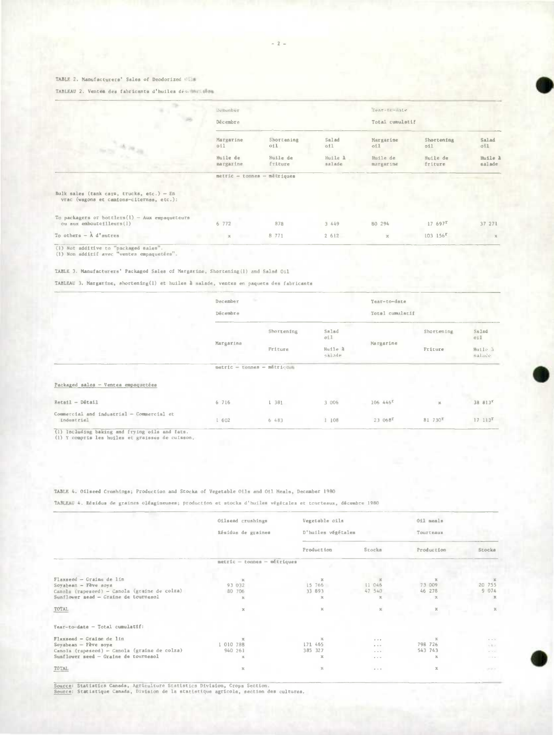TABLE 2. Manufacturers' Sales of Deodorized Oils

TABLEAU 2. Ventes des fabricants d'huiles dénotes isles

|  | Deaumber<br>Décembre  |                                |                   | Year-to-date<br>Total cumulatif |                     |                   |
|--|-----------------------|--------------------------------|-------------------|---------------------------------|---------------------|-------------------|
|  | Margarine<br>011      | Shortening<br>011              | Salad<br>011      | Margarine<br>oil                | Shortening<br>011   | Salad<br>oil      |
|  | Huile de<br>margarine | Huile de<br>friture            | Huile A<br>salade | Huile de<br>margarine           | Huile de<br>friture | Huile à<br>salade |
|  |                       | $metric - t$ onnes - métriques |                   |                                 |                     |                   |

## Bulk sales (tank cars, trucks, etc.) - En<br>vrac (wagons et camions-citernes, etc.):

To packagers or bottlers(1) - Aux empaqueteurs<br>ou aux emboutefileurs(1)  $6772$ 878  $3.449$ 80 294  $17.697^T$ 37 271

| To others $-$ A d'autres              |  |  | $103.156$ <sup>E</sup> |  |
|---------------------------------------|--|--|------------------------|--|
| (1) Not additive to "packaged sales". |  |  |                        |  |

(1) Non additif avec "ventes empaquetées".

TABLE 3. Manufacturers' Packaged Sales of Margarine, Shortening(1) and Salad 011

TABLEAU 3. Margarine, shortening(1) et huiles à salade, ventes en paquets des fabricants

|                                                                                                    | December  |                               |                   | Year-to-date           |                     |                       |
|----------------------------------------------------------------------------------------------------|-----------|-------------------------------|-------------------|------------------------|---------------------|-----------------------|
|                                                                                                    | Décembre  |                               |                   | Total cumulatif        |                     |                       |
|                                                                                                    | Margarine | Shortening                    | Salad<br>oil      | Margarine              | Shortening          | Salad<br>011          |
| and the state of the pro-                                                                          |           | Friture                       | Huile à<br>salade |                        | Friture             | Huile à<br>salade     |
|                                                                                                    |           | $metric - tones - mftri$ quas |                   |                        |                     |                       |
| Packaged sales - Ventes empaquetées                                                                |           |                               |                   |                        |                     |                       |
| Retail - Détail                                                                                    | 6 716     | 1381                          | 3 006             | $106.446$ <sup>r</sup> | x                   | $38813^{x}$           |
| Commercial and industrial - Commercial et<br>industriel                                            | 1602      | 6.483                         | 1 108             | $23.068^T$             | 81 730 <sup>K</sup> | $17.113$ <sup>T</sup> |
| (1) Including baking and frying oils and fats.<br>(1) Y compris les huiles et graisses de cuisson. |           |                               |                   |                        |                     |                       |

#### TABLE 4. Oilseed Crushings; Production and Stocka of Vegetable Oils and Oil Meals, Decamber 1980

TABLEAU 4. Résidus de graines cléagineuses; production et stocks d'huiles végétales et tourteaux, décembre 1980

|                                              | Oilseed crushings<br>Résidus de graines | Vegetable oils<br>D'huiles végétales |                         | Oil meals<br>Tourteaux |                      |
|----------------------------------------------|-----------------------------------------|--------------------------------------|-------------------------|------------------------|----------------------|
|                                              |                                         | Production                           | Stocks                  | Production             | Stocks               |
|                                              | $metric - tonnes - métriques$           |                                      |                         |                        |                      |
| Flaxseed - Grains de lin                     |                                         | $\propto$                            |                         |                        |                      |
| Soyabean - Fève soya                         | 93 032                                  | 15766                                | 11 046                  | 73 009                 | 20 755               |
| Canola (rapeseed) - Canola (graine de colza) | 80 706                                  | 33 893                               | 47 540                  | 46 278                 | 9074                 |
| Sunflower sead - Graine de tournesol         |                                         | ×                                    | $\mathbf{x}$            | $\mathbb{X}.$          | $\mathbf{x}$         |
| TOTAL                                        | $\mathbb{R}$                            | $\mathbb{X}$                         | $\mathbb{X}$            | $\mathbf{x}$           | $\mathbf{x}$         |
| Year-to-date - Total cumulatif:              |                                         |                                      |                         |                        |                      |
| Flaxseed - Graine de lin                     | $\mathbf x$                             | $\chi$                               | $-0.01$                 | $\boldsymbol{\chi}$    | $\sim$ $\sim$ $\sim$ |
| Soyabean - Fève soye                         | 010 788                                 | 171 465                              | $-0.11$                 | 798 726                | 2.811                |
| Canola (rapeseed) - Canola (graine de colza) | 940 261                                 | 385 327                              | $\alpha \rightarrow -1$ | 543 743                | $\mathbf{r}$         |
| Sunflower seed - Graine de tournesol         | $\mathcal{R}$                           | $\mathbf{x}$                         | $\sim$ $\sim$ $-$       | x                      | $-14$                |
| TOTAL                                        | $\mathbb{M}$                            | $\mathbb{X}$                         | $-1$                    | х                      | in a co-             |
|                                              |                                         |                                      |                         |                        |                      |

Source: Statistics Canada, Agriculture Statistics Division, Crops Section.<br>Source: Statistique Canada, Division de la statistique agricole, section des cultures.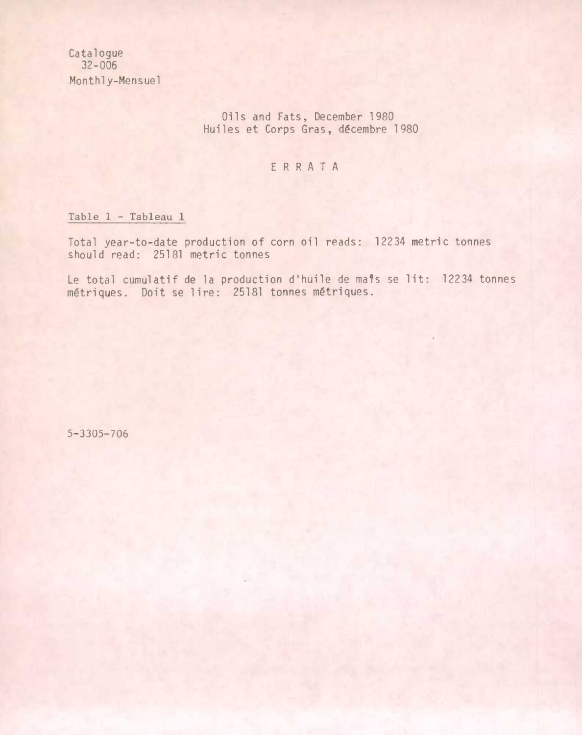Catalogue  $32 - 006$ Monthly-Mensuel

> Oils and Fats, December 1980 Huiles et Corps Gras, décembre 1980

## E R R A T A

Table 1 - Tableau 1

Total year-to-date production of corn oil reads: 12234 metric tonnes should read: 25181 metric tonnes

Le total cumulatif de la production d'huile de mais se lit: 12234 tonnes métriques. Doit se lire: 25181 tonnes métriques.

5-3305-706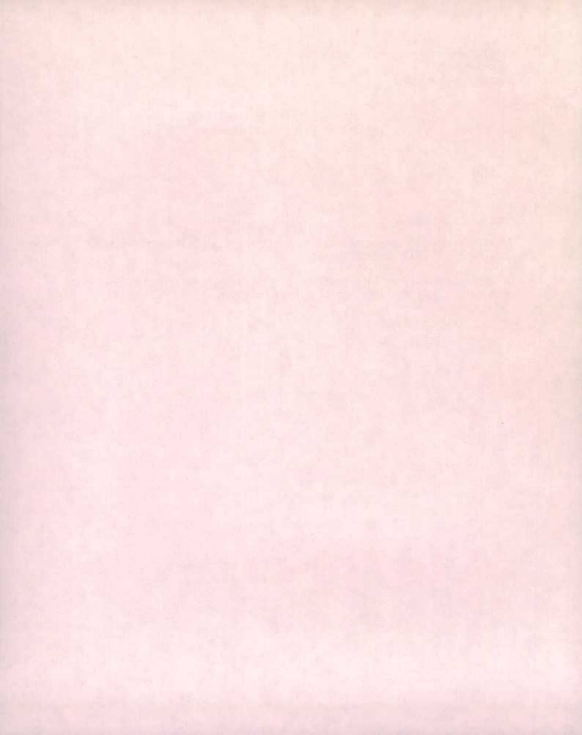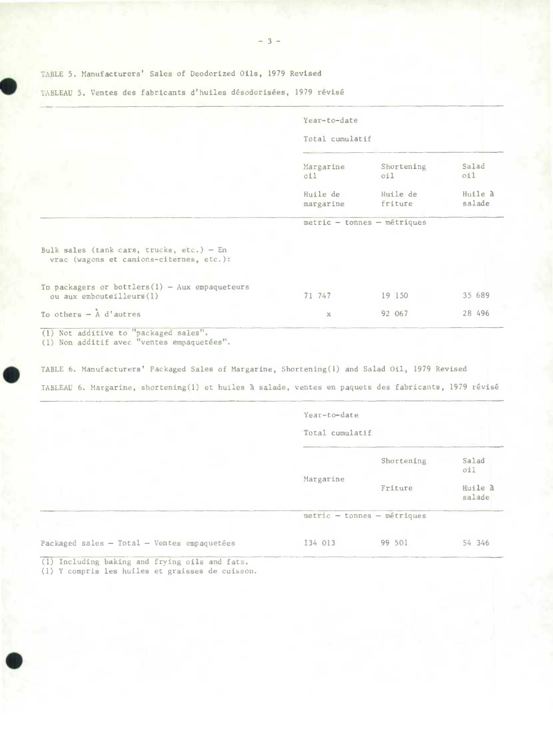|                                                                                       | Year-to-date          |                             |                   |
|---------------------------------------------------------------------------------------|-----------------------|-----------------------------|-------------------|
|                                                                                       | Total cumulatif       |                             |                   |
|                                                                                       | Margarine<br>011      | Shortening<br>oil           | Salad<br>oil      |
|                                                                                       | Huile de<br>margarine | Huile de<br>friture         | Huile à<br>salade |
|                                                                                       |                       | metric - tonnes - métriques |                   |
| Bulk sales (tank cars, trucks, etc.) - En<br>vrac (wagons et camions-citernes, etc.): |                       |                             |                   |
| To packagers or bottlers $(1)$ - Aux empaqueteurs<br>ou aux embouteilleurs (1)        | 71 747                | 19 150                      | 35 689            |
| To others $ A$ d'autres                                                               | $\mathbf x$           | 92 067                      | 28 496            |

(1) Non additif avec "ventes empaquetées".

. TABLE 6. Manufacturers' Packaged Sales of Margarine, Shortening(1) and Salad Oil, 1979 Revised

TABLEAU 6. Margarine, shortening(1) et huiles à salade, ventes en paquets des fabricants, 1979 révisé

|                                             | Year-to-date    |                               |                   |
|---------------------------------------------|-----------------|-------------------------------|-------------------|
|                                             | Total cumulatif |                               |                   |
|                                             |                 | Shortening                    | Salad<br>oil      |
|                                             | Margarine       | Friture                       | Huile à<br>salade |
|                                             |                 | $metric - tonnes - métriques$ |                   |
| Packaged sales - Total - Ventes empaquetées | 134 013         | 99 501                        | 54 346            |

(1) Including baking and frying oils and fats.

(1) Y compris les huiles et graisses de cuisson.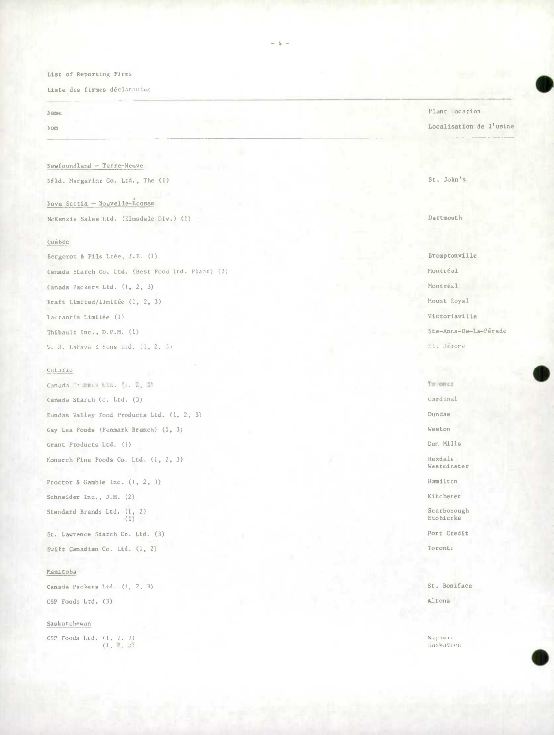#### List of Reporting Firms

Liste des firmes déclarantes

| Name                                              | Plant location           |
|---------------------------------------------------|--------------------------|
| Nom                                               | Localisation de l'usine  |
|                                                   |                          |
|                                                   |                          |
| Newfoundland - Terre-Neuve                        |                          |
| Nfld. Margarine Co. Ltd., The (1)                 | St. John's               |
| Nova Scotia - Nouvelle-Ecosse                     |                          |
| McKenzie Sales Ltd. (Elmsdale Div.) (1)           | Dartmouth                |
| Québec                                            |                          |
| Bergeron & Fils Ltée, J.E. (1)                    | Bromptonville            |
| Canada Starch Co. Ltd. (Best Food Ltd. Plant) (3) | Montréal                 |
| Canada Packers Ltd. (1, 2, 3)                     | Montréal                 |
| Kraft Limited/Limitée (1, 2, 3)                   | Mount Royal              |
| Lactantia Limitée (1)                             | Victoriaville            |
| Thibault Inc., D.P.M. (1)                         | Ste-Anna-De-La-Pérade    |
| W. J. LaFave & Sons Ltd. (1, 2, 3)                | St. Jérome               |
|                                                   |                          |
| Ontario                                           |                          |
| Canada Packers Ltd. (1, 2, 3)                     | Toronce                  |
| Canada Starch Co. Ltd. (3)                        | Cardinal                 |
| Dundas Valley Food Products Ltd. (1, 2, 3)        | Dundas                   |
| Gay Lea Foods (Fenmark Branch) (1, 3)             | Weston                   |
| Grant Products Ltd. (1)                           | Don Mills                |
| Monarch Fine Foods Co. Ltd. (1, 2, 3)             | Rexdale<br>Westminster   |
| Proctor & Gamble Inc. (1, 2, 3)                   | Hamilton                 |
| Schneider Inc., J.M. (2)                          | Kitchener                |
| Standard Brands Ltd. (1, 2)<br>(1)                | Scarborough<br>Etobicoke |

St. Lawrence Starch Co. Ltd. (3) Port Credit Swift Canadian Co. Ltd. (1, 2) Toronto

#### Manitoba

Canada Packers Ltd. (1, 2, 3) St. Boniface CSP Foods Ltd. (3) Altona and the contract of the contract of the contract of the contract of the contract of the contract of the contract of the contract of the contract of the contract of the contract of the contract of

#### Saskatchewan

CSP Foods Lid. (1, 2. 3) Nipawin

 $\bullet$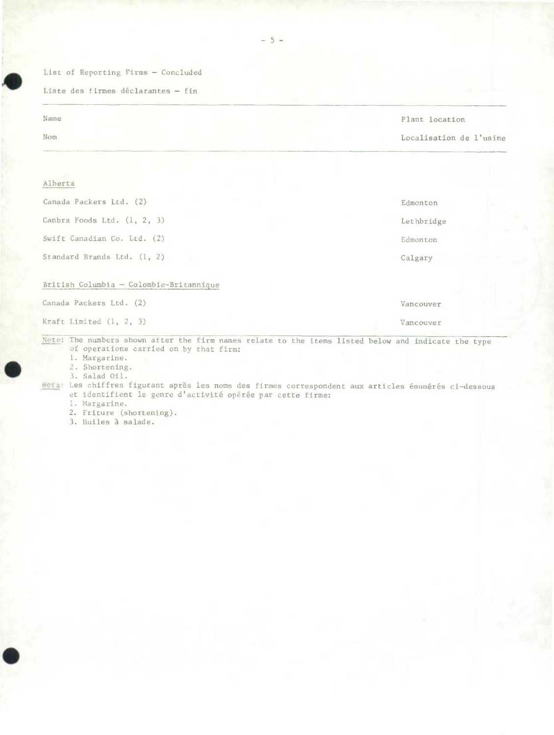. List of Reporting Firms - Concluded

### Liste des firmes déclarantes - fin

| Name | Plant location          |
|------|-------------------------|
| Nom  | Localisation de l'usine |

#### Alberta

| Canada Packers Ltd. (2)                 | Edmonton   |
|-----------------------------------------|------------|
| Canbra Foods Ltd. $(1, 2, 3)$           | Lethbridge |
| Swift Canadian Co. Ltd. (2)             | Edmonton   |
| Standard Brands Ltd. (1, 2)             | Calgary    |
| British Columbia - Colombie-Britannique |            |
| Canada Packers Ltd. (2)                 | Vancouver  |
| Kraft Limited $(1, 2, 3)$               | Vancouver  |

Note: The numbers shown after the firm names relate to the items listed below and indicate the type of operations carried on by that firm:

1. Margarine. . 2. Shortening.

3. Salad Oil.

Mota: Les chiffres figurant après les noms des firmes correspondent aux articles énumérés ci-dessous et identifient le genre d'activité opérée par cette firme:

1. Margarine.

2. Friture (shortening).

3. Huiles à salade.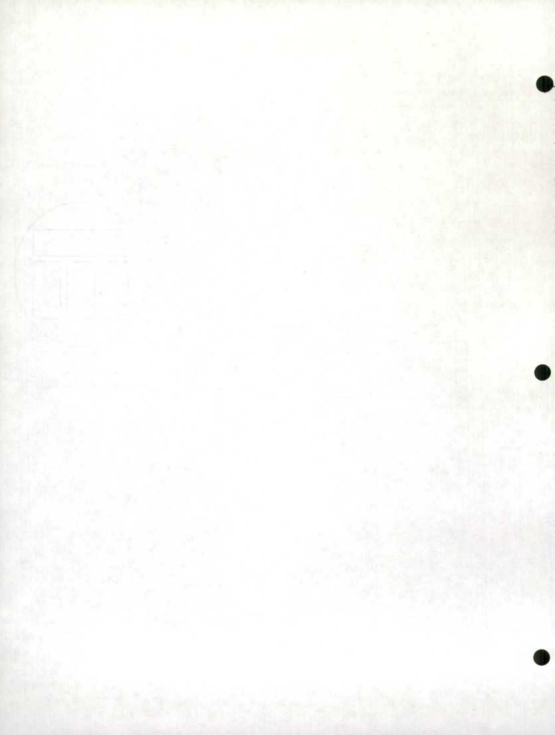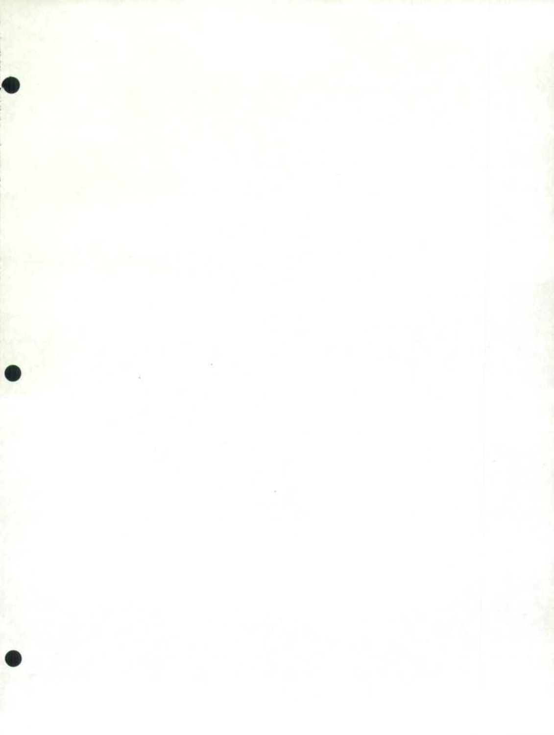